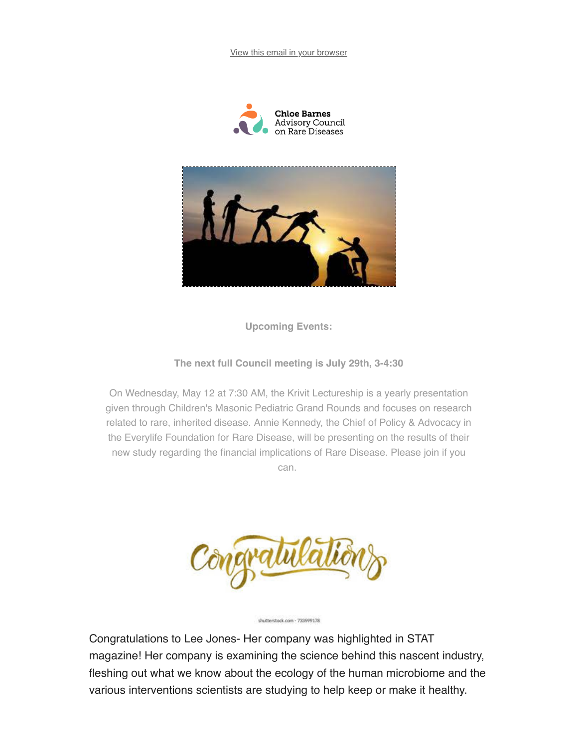View this email in your browser





**Upcoming Events:** 

The next full Council meeting is July 29th, 3-4:30

On Wednesday, May 12 at 7:30 AM, the Krivit Lectureship is a yearly presentation given through Children's Masonic Pediatric Grand Rounds and focuses on research related to rare, inherited disease. Annie Kennedy, the Chief of Policy & Advocacy in the Everylife Foundation for Rare Disease, will be presenting on the results of their new study regarding the financial implications of Rare Disease. Please join if you can.

Congratulations to Lee Jones- Her company was highlighted in STAT magazine! Her company is examining the science behind this nascent industry, fleshing out what we know about the ecology of the human microbiome and the various interventions scientists are studying to help keep or make it healthy.

shutterstock.com - 733599178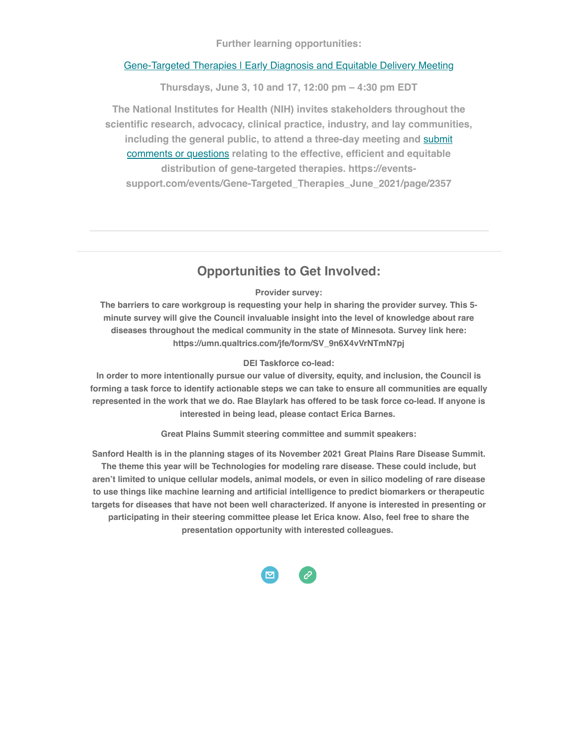**Further learning opportunities:** 

#### Gene-Targeted Therapies | Early Diagnosis and Equitable Delivery Meeting

Thursdays, June 3, 10 and 17, 12:00 pm - 4:30 pm EDT

The National Institutes for Health (NIH) invites stakeholders throughout the scientific research, advocacy, clinical practice, industry, and lay communities, including the general public, to attend a three-day meeting and submit comments or questions relating to the effective, efficient and equitable distribution of gene-targeted therapies. https://eventssupport.com/events/Gene-Targeted Therapies June 2021/page/2357

### **Opportunities to Get Involved:**

#### Provider survey:

The barriers to care workgroup is requesting your help in sharing the provider survey. This 5minute survey will give the Council invaluable insight into the level of knowledge about rare diseases throughout the medical community in the state of Minnesota. Survey link here: https://umn.qualtrics.com/jfe/form/SV\_9n6X4vVrNTmN7pj

#### **DEI Taskforce co-lead:**

In order to more intentionally pursue our value of diversity, equity, and inclusion, the Council is forming a task force to identify actionable steps we can take to ensure all communities are equally represented in the work that we do. Rae Blaylark has offered to be task force co-lead. If anyone is interested in being lead, please contact Erica Barnes.

**Great Plains Summit steering committee and summit speakers:** 

Sanford Health is in the planning stages of its November 2021 Great Plains Rare Disease Summit. The theme this year will be Technologies for modeling rare disease. These could include, but aren't limited to unique cellular models, animal models, or even in silico modeling of rare disease to use things like machine learning and artificial intelligence to predict biomarkers or therapeutic targets for diseases that have not been well characterized. If anyone is interested in presenting or participating in their steering committee please let Erica know. Also, feel free to share the presentation opportunity with interested colleagues.

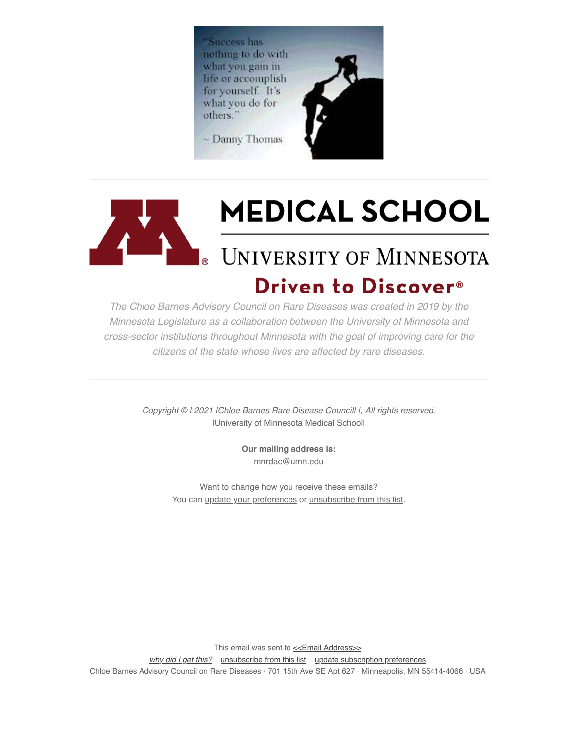'Success has nothing to do with what you gain in life or accomplish for yourself. It's what you do for others."

~ Danny Thomas





## Driven to Discover<sup>®</sup>

The Chloe Barnes Advisory Council on Rare Diseases was created in 2019 by the Minnesota Legislature as a collaboration between the University of Minnesota and cross-sector institutions throughout Minnesota with the goal of improving care for the citizens of the state whose lives are affected by rare diseases.

> Copyright © I 2021 IChloe Barnes Rare Disease Councill I, All rights reserved. IUniversity of Minnesota Medical Schooll

> > Our mailing address is: mnrdac@umn.edu

Want to change how you receive these emails? You can update your preferences or unsubscribe from this list.

This email was sent to << Email Address>>

why did I get this? unsubscribe from this list update subscription preferences

Chloe Barnes Advisory Council on Rare Diseases · 701 15th Ave SE Apt 627 · Minneapolis, MN 55414-4066 · USA